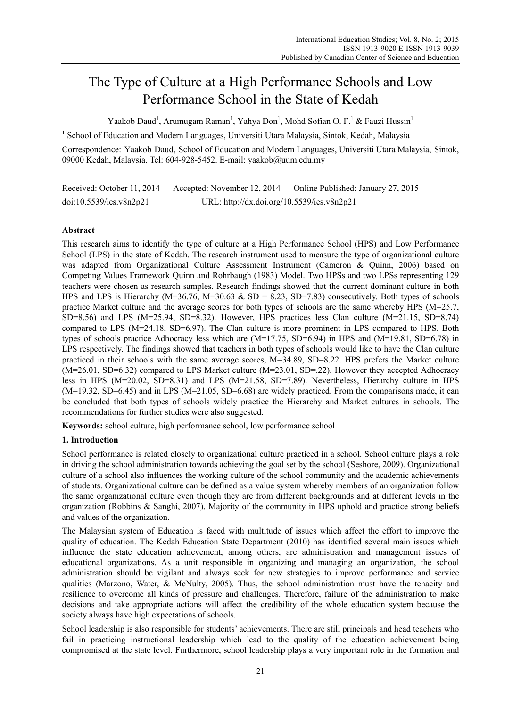# The Type of Culture at a High Performance Schools and Low Performance School in the State of Kedah

Yaakob Daud<sup>1</sup>, Arumugam Raman<sup>1</sup>, Yahya Don<sup>1</sup>, Mohd Sofian O. F.<sup>1</sup> & Fauzi Hussin<sup>1</sup>

<sup>1</sup> School of Education and Modern Languages, Universiti Utara Malaysia, Sintok, Kedah, Malaysia

Correspondence: Yaakob Daud, School of Education and Modern Languages, Universiti Utara Malaysia, Sintok, 09000 Kedah, Malaysia. Tel: 604-928-5452. E-mail: yaakob@uum.edu.my

Received: October 11, 2014 Accepted: November 12, 2014 Online Published: January 27, 2015 doi:10.5539/ies.v8n2p21 URL: http://dx.doi.org/10.5539/ies.v8n2p21

# **Abstract**

This research aims to identify the type of culture at a High Performance School (HPS) and Low Performance School (LPS) in the state of Kedah. The research instrument used to measure the type of organizational culture was adapted from Organizational Culture Assessment Instrument (Cameron & Quinn, 2006) based on Competing Values Framework Quinn and Rohrbaugh (1983) Model. Two HPSs and two LPSs representing 129 teachers were chosen as research samples. Research findings showed that the current dominant culture in both HPS and LPS is Hierarchy (M=36.76, M=30.63  $&$  SD = 8.23, SD=7.83) consecutively. Both types of schools practice Market culture and the average scores for both types of schools are the same whereby HPS (M=25.7, SD=8.56) and LPS  $(M=25.94, SD=8.32)$ . However, HPS practices less Clan culture  $(M=21.15, SD=8.74)$ compared to LPS (M=24.18, SD=6.97). The Clan culture is more prominent in LPS compared to HPS. Both types of schools practice Adhocracy less which are (M=17.75, SD=6.94) in HPS and (M=19.81, SD=6.78) in LPS respectively. The findings showed that teachers in both types of schools would like to have the Clan culture practiced in their schools with the same average scores, M=34.89, SD=8.22. HPS prefers the Market culture (M=26.01, SD=6.32) compared to LPS Market culture (M=23.01, SD=.22). However they accepted Adhocracy less in HPS (M=20.02, SD=8.31) and LPS (M=21.58, SD=7.89). Nevertheless, Hierarchy culture in HPS  $(M=19.32, SD=6.45)$  and in LPS  $(M=21.05, SD=6.68)$  are widely practiced. From the comparisons made, it can be concluded that both types of schools widely practice the Hierarchy and Market cultures in schools. The recommendations for further studies were also suggested.

**Keywords:** school culture, high performance school, low performance school

# **1. Introduction**

School performance is related closely to organizational culture practiced in a school. School culture plays a role in driving the school administration towards achieving the goal set by the school (Seshore, 2009). Organizational culture of a school also influences the working culture of the school community and the academic achievements of students. Organizational culture can be defined as a value system whereby members of an organization follow the same organizational culture even though they are from different backgrounds and at different levels in the organization (Robbins & Sanghi, 2007). Majority of the community in HPS uphold and practice strong beliefs and values of the organization.

The Malaysian system of Education is faced with multitude of issues which affect the effort to improve the quality of education. The Kedah Education State Department (2010) has identified several main issues which influence the state education achievement, among others, are administration and management issues of educational organizations. As a unit responsible in organizing and managing an organization, the school administration should be vigilant and always seek for new strategies to improve performance and service qualities (Marzono, Water, & McNulty, 2005). Thus, the school administration must have the tenacity and resilience to overcome all kinds of pressure and challenges. Therefore, failure of the administration to make decisions and take appropriate actions will affect the credibility of the whole education system because the society always have high expectations of schools.

School leadership is also responsible for students' achievements. There are still principals and head teachers who fail in practicing instructional leadership which lead to the quality of the education achievement being compromised at the state level. Furthermore, school leadership plays a very important role in the formation and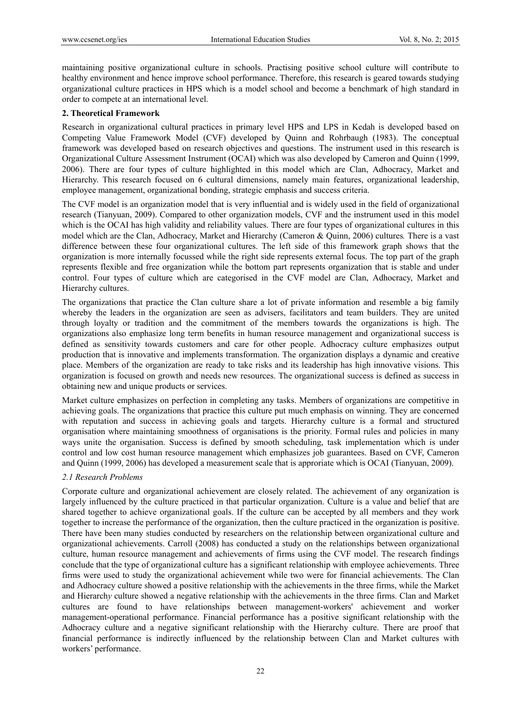maintaining positive organizational culture in schools. Practising positive school culture will contribute to healthy environment and hence improve school performance. Therefore, this research is geared towards studying organizational culture practices in HPS which is a model school and become a benchmark of high standard in order to compete at an international level.

## **2. Theoretical Framework**

Research in organizational cultural practices in primary level HPS and LPS in Kedah is developed based on Competing Value Framework Model (CVF) developed by Quinn and Rohrbaugh (1983). The conceptual framework was developed based on research objectives and questions. The instrument used in this research is Organizational Culture Assessment Instrument (OCAI) which was also developed by Cameron and Quinn (1999, 2006). There are four types of culture highlighted in this model which are Clan, Adhocracy, Market and Hierarchy. This research focused on 6 cultural dimensions, namely main features, organizational leadership, employee management, organizational bonding, strategic emphasis and success criteria.

The CVF model is an organization model that is very influential and is widely used in the field of organizational research (Tianyuan, 2009). Compared to other organization models, CVF and the instrument used in this model which is the OCAI has high validity and reliability values. There are four types of organizational cultures in this model which are the Clan, Adhocracy, Market and Hierarchy (Cameron & Quinn, 2006) cultures*.* There is a vast difference between these four organizational cultures. The left side of this framework graph shows that the organization is more internally focussed while the right side represents external focus. The top part of the graph represents flexible and free organization while the bottom part represents organization that is stable and under control. Four types of culture which are categorised in the CVF model are Clan, Adhocracy, Market and Hierarchy cultures.

The organizations that practice the Clan culture share a lot of private information and resemble a big family whereby the leaders in the organization are seen as advisers, facilitators and team builders. They are united through loyalty or tradition and the commitment of the members towards the organizations is high. The organizations also emphasize long term benefits in human resource management and organizational success is defined as sensitivity towards customers and care for other people. Adhocracy culture emphasizes output production that is innovative and implements transformation. The organization displays a dynamic and creative place. Members of the organization are ready to take risks and its leadership has high innovative visions. This organization is focused on growth and needs new resources. The organizational success is defined as success in obtaining new and unique products or services.

Market culture emphasizes on perfection in completing any tasks. Members of organizations are competitive in achieving goals. The organizations that practice this culture put much emphasis on winning. They are concerned with reputation and success in achieving goals and targets. Hierarchy culture is a formal and structured organisation where maintaining smoothness of organisations is the priority. Formal rules and policies in many ways unite the organisation. Success is defined by smooth scheduling, task implementation which is under control and low cost human resource management which emphasizes job guarantees. Based on CVF, Cameron and Quinn (1999, 2006) has developed a measurement scale that is approriate which is OCAI (Tianyuan, 2009).

# *2.1 Research Problems*

Corporate culture and organizational achievement are closely related. The achievement of any organization is largely influenced by the culture practiced in that particular organization. Culture is a value and belief that are shared together to achieve organizational goals. If the culture can be accepted by all members and they work together to increase the performance of the organization, then the culture practiced in the organization is positive. There have been many studies conducted by researchers on the relationship between organizational culture and organizational achievements. Carroll (2008) has conducted a study on the relationships between organizational culture, human resource management and achievements of firms using the CVF model. The research findings conclude that the type of organizational culture has a significant relationship with employee achievements. Three firms were used to study the organizational achievement while two were for financial achievements. The Clan and Adhocracy culture showed a positive relationship with the achievements in the three firms, while the Market and Hierarch*y* culture showed a negative relationship with the achievements in the three firms. Clan and Market cultures are found to have relationships between management-workers' achievement and worker management-operational performance. Financial performance has a positive significant relationship with the Adhocracy culture and a negative significant relationship with the Hierarchy culture. There are proof that financial performance is indirectly influenced by the relationship between Clan and Market cultures with workers' performance.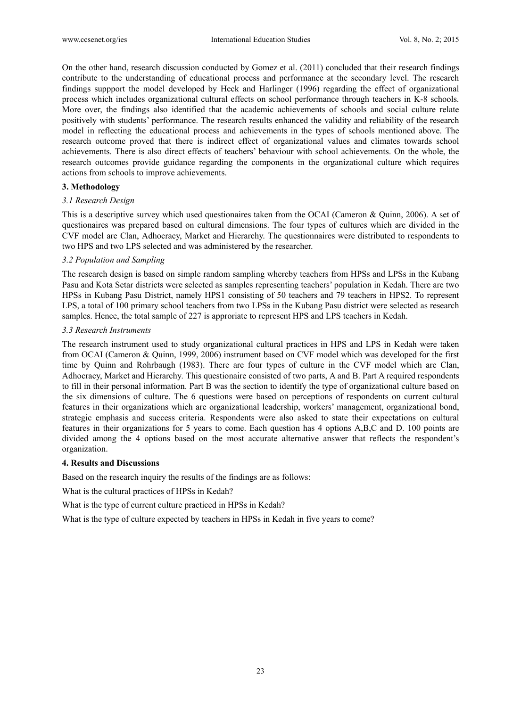On the other hand, research discussion conducted by Gomez et al. (2011) concluded that their research findings contribute to the understanding of educational process and performance at the secondary level. The research findings suppport the model developed by Heck and Harlinger (1996) regarding the effect of organizational process which includes organizational cultural effects on school performance through teachers in K-8 schools. More over, the findings also identified that the academic achievements of schools and social culture relate positively with students' performance. The research results enhanced the validity and reliability of the research model in reflecting the educational process and achievements in the types of schools mentioned above. The research outcome proved that there is indirect effect of organizational values and climates towards school achievements. There is also direct effects of teachers' behaviour with school achievements. On the whole, the research outcomes provide guidance regarding the components in the organizational culture which requires actions from schools to improve achievements.

# **3. Methodology**

#### *3.1 Research Design*

This is a descriptive survey which used questionaires taken from the OCAI (Cameron & Quinn, 2006). A set of questionaires was prepared based on cultural dimensions. The four types of cultures which are divided in the CVF model are Clan, Adhocracy, Market and Hierarchy. The questionnaires were distributed to respondents to two HPS and two LPS selected and was administered by the researcher.

#### *3.2 Population and Sampling*

The research design is based on simple random sampling whereby teachers from HPSs and LPSs in the Kubang Pasu and Kota Setar districts were selected as samples representing teachers' population in Kedah. There are two HPSs in Kubang Pasu District, namely HPS1 consisting of 50 teachers and 79 teachers in HPS2. To represent LPS, a total of 100 primary school teachers from two LPSs in the Kubang Pasu district were selected as research samples. Hence, the total sample of 227 is approriate to represent HPS and LPS teachers in Kedah.

#### *3.3 Research Instruments*

The research instrument used to study organizational cultural practices in HPS and LPS in Kedah were taken from OCAI (Cameron & Quinn, 1999, 2006) instrument based on CVF model which was developed for the first time by Quinn and Rohrbaugh (1983). There are four types of culture in the CVF model which are Clan, Adhocracy, Market and Hierarchy*.* This questionaire consisted of two parts, A and B. Part A required respondents to fill in their personal information. Part B was the section to identify the type of organizational culture based on the six dimensions of culture. The 6 questions were based on perceptions of respondents on current cultural features in their organizations which are organizational leadership, workers' management, organizational bond, strategic emphasis and success criteria. Respondents were also asked to state their expectations on cultural features in their organizations for 5 years to come. Each question has 4 options A,B,C and D. 100 points are divided among the 4 options based on the most accurate alternative answer that reflects the respondent's organization.

#### **4. Results and Discussions**

Based on the research inquiry the results of the findings are as follows:

What is the cultural practices of HPSs in Kedah?

What is the type of current culture practiced in HPSs in Kedah?

What is the type of culture expected by teachers in HPSs in Kedah in five years to come?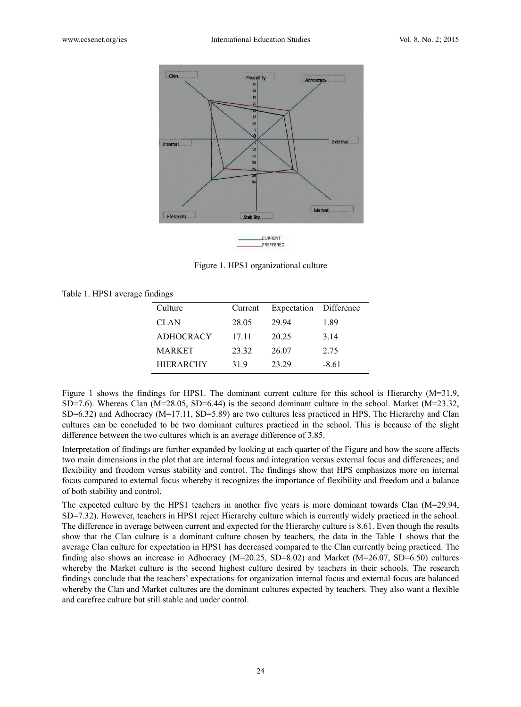

Figure 1. HPS1 organizational culture

|  |  |  |  | Table 1. HPS1 average findings |  |
|--|--|--|--|--------------------------------|--|
|--|--|--|--|--------------------------------|--|

| Culture          | Current | Expectation Difference |         |
|------------------|---------|------------------------|---------|
| <b>CLAN</b>      | 28.05   | 29 94                  | 1.89    |
| <b>ADHOCRACY</b> | 17.11   | 20.25                  | 3.14    |
| <b>MARKET</b>    | 23.32   | 26.07                  | 2.75    |
| <b>HIERARCHY</b> | 31.9    | 23.29                  | $-8.61$ |

Figure 1 shows the findings for HPS1. The dominant current culture for this school is Hierarchy ( $M=31.9$ ,  $SD=7.6$ ). Whereas Clan (M=28.05, SD=6.44) is the second dominant culture in the school. Market (M=23.32,  $SD=6.32$ ) and Adhocracy (M=17.11, SD=5.89) are two cultures less practiced in HPS. The Hierarchy and Clan cultures can be concluded to be two dominant cultures practiced in the school. This is because of the slight difference between the two cultures which is an average difference of 3.85.

Interpretation of findings are further expanded by looking at each quarter of the Figure and how the score affects two main dimensions in the plot that are internal focus and integration versus external focus and differences; and flexibility and freedom versus stability and control. The findings show that HPS emphasizes more on internal focus compared to external focus whereby it recognizes the importance of flexibility and freedom and a balance of both stability and control.

The expected culture by the HPS1 teachers in another five years is more dominant towards Clan (M=29.94, SD=7.32). However, teachers in HPS1 reject Hierarchy culture which is currently widely practiced in the school. The difference in average between current and expected for the Hierarchy culture is 8.61. Even though the results show that the Clan culture is a dominant culture chosen by teachers, the data in the Table 1 shows that the average Clan culture for expectation in HPS1 has decreased compared to the Clan currently being practiced. The finding also shows an increase in Adhocracy ( $M=20.25$ , SD=8.02) and Market ( $M=26.07$ , SD=6.50) cultures whereby the Market culture is the second highest culture desired by teachers in their schools. The research findings conclude that the teachers' expectations for organization internal focus and external focus are balanced whereby the Clan and Market cultures are the dominant cultures expected by teachers. They also want a flexible and carefree culture but still stable and under control.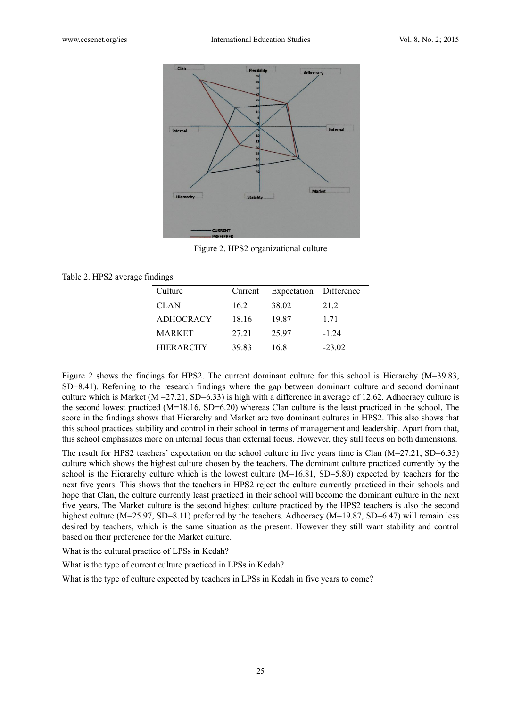

F Figure 2. HPS2 2 organization al culture

#### Table 2. H HPS2 average f findings

| Culture          | Current | Expectation Difference |          |
|------------------|---------|------------------------|----------|
| <b>CLAN</b>      | 16.2    | 38.02                  | 21.2     |
| <b>ADHOCRACY</b> | 18.16   | 19.87                  | 1.71     |
| <b>MARKET</b>    | 27 21   | 25.97                  | $-124$   |
| <b>HIERARCHY</b> | 39.83   | 16.81                  | $-23.02$ |

HIERARCHY 39.83 16.81 -23.02<br>Figure 2 shows the findings for HPS2. The current dominant culture for this school is Hierarchy (M=39.83, SD=8.41). Referring to the research findings where the gap between dominant culture and second dominant culture which is Market ( $M = 27.21$ , SD=6.33) is high with a difference in average of 12.62. Adhocracy culture is the second lowest practiced  $(M=18.16, SD=6.20)$  whereas Clan culture is the least practiced in the school. The score in the findings shows that Hierarchy and Market are two dominant cultures in HPS2. This also shows that this school practices stability and control in their school in terms of management and leadership. Apart from that, this school emphasizes more on internal focus than external focus. However, they still focus on both dimensions.

The result for HPS2 teachers' expectation on the school culture in five years time is Clan  $(M=27.21, SD=6.33)$ culture which shows the highest culture chosen by the teachers. The dominant culture practiced currently by the school is the Hierarchy culture which is the lowest culture  $(M=16.81, SD=5.80)$  expected by teachers for the next five years. This shows that the teachers in HPS2 reject the culture currently practiced in their schools and hope that Clan, the culture currently least practiced in their school will become the dominant culture in the next five years. The Market culture is the second highest culture practiced by the HPS2 teachers is also the second highest culture (M=25.97, SD=8.11) preferred by the teachers. Adhocracy (M=19.87, SD=6.47) will remain less desired by teachers, which is the same situation as the present. However they still want stability and control based on their preference for the Market culture.

What is the cultural practice of LPSs in Kedah?

What is the type of current culture practiced in LPSs in Kedah?

What is the type of culture expected by teachers in LPSs in Kedah in five years to come?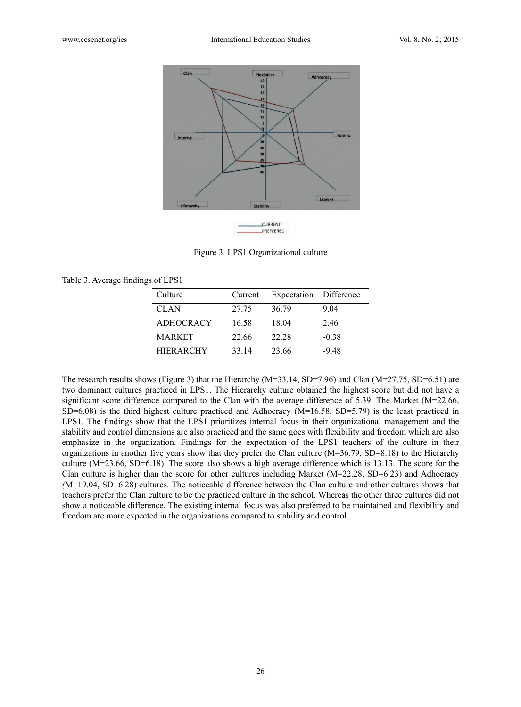

Figure 3. LPS1 Organizational culture

| Table 3. Average findings of LPS1 |  |  |  |  |  |  |  |  |  |
|-----------------------------------|--|--|--|--|--|--|--|--|--|
|-----------------------------------|--|--|--|--|--|--|--|--|--|

| Culture          | Current | Expectation Difference |         |
|------------------|---------|------------------------|---------|
| <b>CLAN</b>      | 27.75   | 36.79                  | 9.04    |
| <b>ADHOCRACY</b> | 16.58   | 18.04                  | 2.46    |
| <b>MARKET</b>    | 22.66   | 22.28                  | $-0.38$ |
| <b>HIERARCHY</b> | 33.14   | 23.66                  | $-9.48$ |

The research results shows (Figure 3) that the Hierarchy ( $M=33.14$ , SD=7.96) and Clan ( $M=27.75$ , SD=6.51) are two dominant cultures practiced in LPS1. The Hierarchy culture obtained the highest score but did not have a significant score difference compared to the Clan with the average difference of 5.39. The Market (M=22.66,  $SD=6.08$ ) is the third highest culture practiced and Adhocracy (M=16.58, SD=5.79) is the least practiced in LPS1. The findings show that the LPS1 prioritizes internal focus in their organizational management and the stability and control dimensions are also practiced and the same goes with flexibility and freedom which are also emphasize in the organization. Findings for the expectation of the LPS1 teachers of the culture in their organizations in another five years show that they prefer the Clan culture  $(M=36.79, SD=8.18)$  to the Hierarchy culture ( $M=23.66$ , SD=6.18). The score also shows a high average difference which is 13.13. The score for the Clan culture is higher than the score for other cultures including Market ( $M=22.28$ , SD=6.23) and Adhocracy  $(M=19.04, SD=6.28)$  cultures. The noticeable difference between the Clan culture and other cultures shows that teachers prefer the Clan culture to be the practiced culture in the school. Whereas the other three cultures did not show a noticeable difference. The existing internal focus was also preferred to be maintained and flexibility and freedom are more expected in the organizations compared to stability and control.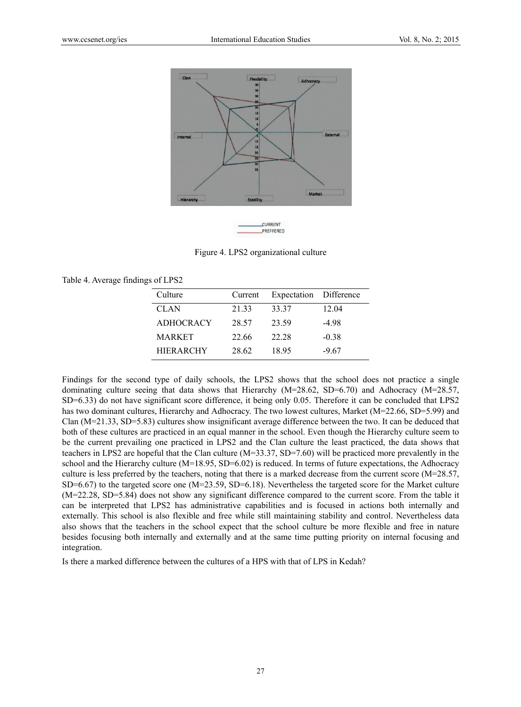

PREFFERED

Figure 4. LPS2 organizational culture

|  | Table 4. Average findings of LPS2 |  |  |
|--|-----------------------------------|--|--|
|  |                                   |  |  |

| Culture          | Current | Expectation Difference |         |
|------------------|---------|------------------------|---------|
| <b>CLAN</b>      | 21 33   | 33.37                  | 12.04   |
| <b>ADHOCRACY</b> | 28.57   | 23.59                  | $-498$  |
| <b>MARKET</b>    | 22.66   | 22.28                  | $-0.38$ |
| <b>HIERARCHY</b> | 28.62   | 18.95                  | $-9.67$ |

Findings for the second type of daily schools, the LPS2 shows that the school does not practice a single dominating culture seeing that data shows that Hierarchy ( $M=28.62$ , SD=6.70) and Adhocracy ( $M=28.57$ , SD=6.33) do not have significant score difference, it being only 0.05. Therefore it can be concluded that LPS2 has two dominant cultures, Hierarchy and Adhocracy. The two lowest cultures, Market (M=22.66, SD=5.99) and Clan  $(M=21.33, SD=5.83)$  cultures show insignificant average difference between the two. It can be deduced that both of these cultures are practiced in an equal manner in the school. Even though the Hierarchy culture seem to be the current prevailing one practiced in LPS2 and the Clan culture the least practiced, the data shows that teachers in LPS2 are hopeful that the Clan culture  $(M=33.37, SD=7.60)$  will be practiced more prevalently in the school and the Hierarchy culture  $(M=18.95, SD=6.02)$  is reduced. In terms of future expectations, the Adhocracy culture is less preferred by the teachers, noting that there is a marked decrease from the current score (M=28.57,  $SD=6.67$ ) to the targeted score one (M=23.59, SD=6.18). Nevertheless the targeted score for the Market culture  $(M=22.28, SD=5.84)$  does not show any significant difference compared to the current score. From the table it can be interpreted that LPS2 has administrative capabilities and is focused in actions both internally and externally. This school is also flexible and free while still maintaining stability and control. Nevertheless data also shows that the teachers in the school expect that the school culture be more flexible and free in nature besides focusing both internally and externally and at the same time putting priority on internal focusing and integration.

Is there a marked difference between the cultures of a HPS with that of LPS in Kedah?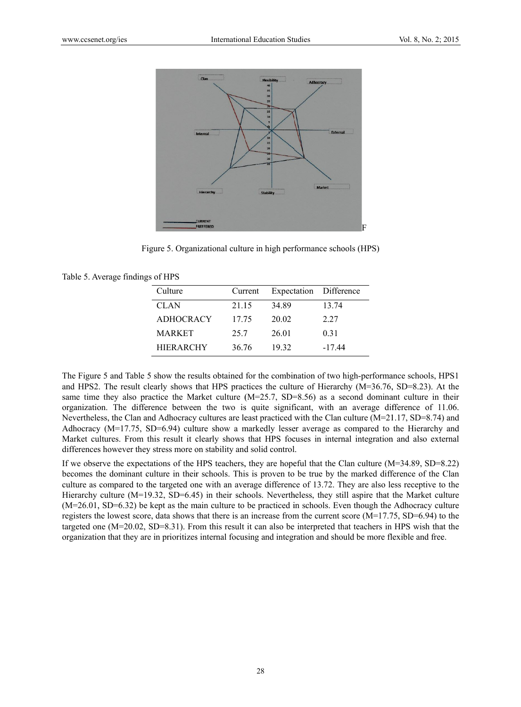

Figure 5. Organizational culture in high performance schools (HPS)

|  | Table 5. Average findings of HPS |  |  |
|--|----------------------------------|--|--|
|  |                                  |  |  |

| Culture          | Current | Expectation Difference |          |
|------------------|---------|------------------------|----------|
| <b>CLAN</b>      | 21.15   | 34.89                  | 13.74    |
| <b>ADHOCRACY</b> | 17.75   | 20.02                  | 2.27     |
| <b>MARKET</b>    | 25.7    | 26.01                  | 0.31     |
| <b>HIERARCHY</b> | 36.76   | 19 32                  | $-17.44$ |

The Figure 5 and Table 5 show the results obtained for the combination of two high-performance schools, HPS1 and HPS2. The result clearly shows that HPS practices the culture of Hierarchy ( $M=36.76$ , SD=8.23). At the same time they also practice the Market culture  $(M=25.7, SD=8.56)$  as a second dominant culture in their organization. The difference between the two is quite significant, with an average difference of 11.06. Nevertheless, the Clan and Adhocracy cultures are least practiced with the Clan culture (M=21.17, SD=8.74) and Adhocracy ( $M=17.75$ ,  $SD=6.94$ ) culture show a markedly lesser average as compared to the Hierarchy and Market cultures. From this result it clearly shows that HPS focuses in internal integration and also external differences however they stress more on stability and solid control.

If we observe the expectations of the HPS teachers, they are hopeful that the Clan culture  $(M=34.89, SD=8.22)$ becomes the dominant culture in their schools. This is proven to be true by the marked difference of the Clan culture as compared to the targeted one with an average difference of 13.72. They are also less receptive to the Hierarchy culture  $(M=19.32, SD=6.45)$  in their schools. Nevertheless, they still aspire that the Market culture  $(M=26.01, SD=6.32)$  be kept as the main culture to be practiced in schools. Even though the Adhocracy culture registers the lowest score, data shows that there is an increase from the current score  $(M=17.75, SD=6.94)$  to the targeted one  $(M=20.02, SD=8.31)$ . From this result it can also be interpreted that teachers in HPS wish that the organization that they are in prioritizes internal focusing and integration and should be more flexible and free.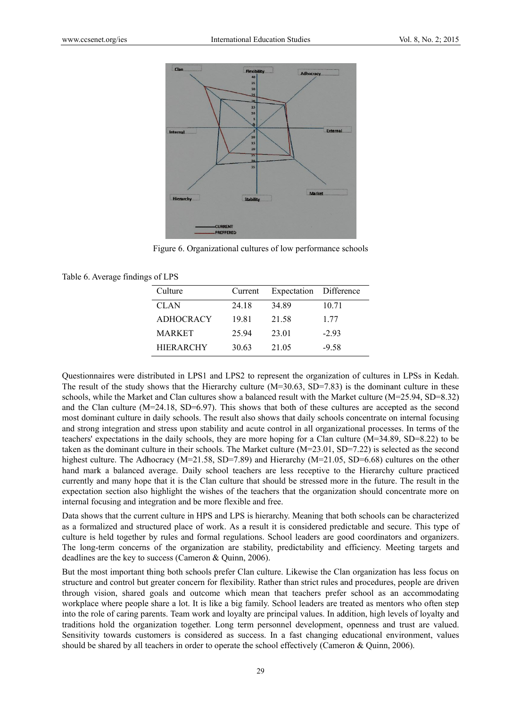

Figure 6. Organizational cultures of low performance schools

| Table 6. Average findings of LPS |  |  |  |  |  |  |
|----------------------------------|--|--|--|--|--|--|
|----------------------------------|--|--|--|--|--|--|

| Culture          | Current | Expectation Difference |         |
|------------------|---------|------------------------|---------|
| <b>CLAN</b>      | 24.18   | 34.89                  | 10.71   |
| <b>ADHOCRACY</b> | 19.81   | 21.58                  | 1 77    |
| <b>MARKET</b>    | 25.94   | 23.01                  | $-2.93$ |
| <b>HIERARCHY</b> | 30.63   | 21.05                  | $-9.58$ |

Questionnaires were distributed in LPS1 and LPS2 to represent the organization of cultures in LPSs in Kedah. The result of the study shows that the Hierarchy culture  $(M=30.63, SD=7.83)$  is the dominant culture in these schools, while the Market and Clan cultures show a balanced result with the Market culture (M=25.94, SD=8.32) and the Clan culture  $(M=24.18, SD=6.97)$ . This shows that both of these cultures are accepted as the second most dominant culture in daily schools. The result also shows that daily schools concentrate on internal focusing and strong integration and stress upon stability and acute control in all organizational processes. In terms of the teachers' expectations in the daily schools, they are more hoping for a Clan culture  $(M=34.89, SD=8.22)$  to be taken as the dominant culture in their schools. The Market culture  $(M=23.01, SD=7.22)$  is selected as the second highest culture. The Adhocracy ( $M=21.58$ , SD=7.89) and Hierarchy ( $M=21.05$ , SD=6.68) cultures on the other hand mark a balanced average. Daily school teachers are less receptive to the Hierarchy culture practiced currently and many hope that it is the Clan culture that should be stressed more in the future. The result in the expectation section also highlight the wishes of the teachers that the organization should concentrate more on internal focusing and integration and be more flexible and free.

Data shows that the current culture in HPS and LPS is hierarchy. Meaning that both schools can be characterized as a formalized and structured place of work. As a result it is considered predictable and secure. This type of culture is held together by rules and formal regulations. School leaders are good coordinators and organizers. The long-term concerns of the organization are stability, predictability and efficiency. Meeting targets and deadlines are the key to success (Cameron & Quinn, 2006).

But the most important thing both schools prefer Clan culture. Likewise the Clan organization has less focus on structure and control but greater concern for flexibility. Rather than strict rules and procedures, people are driven through vision, shared goals and outcome which mean that teachers prefer school as an accommodating workplace where people share a lot. It is like a big family. School leaders are treated as mentors who often step into the role of caring parents. Team work and loyalty are principal values. In addition, high levels of loyalty and traditions hold the organization together. Long term personnel development, openness and trust are valued. Sensitivity towards customers is considered as success. In a fast changing educational environment, values should be shared by all teachers in order to operate the school effectively (Cameron & Quinn, 2006).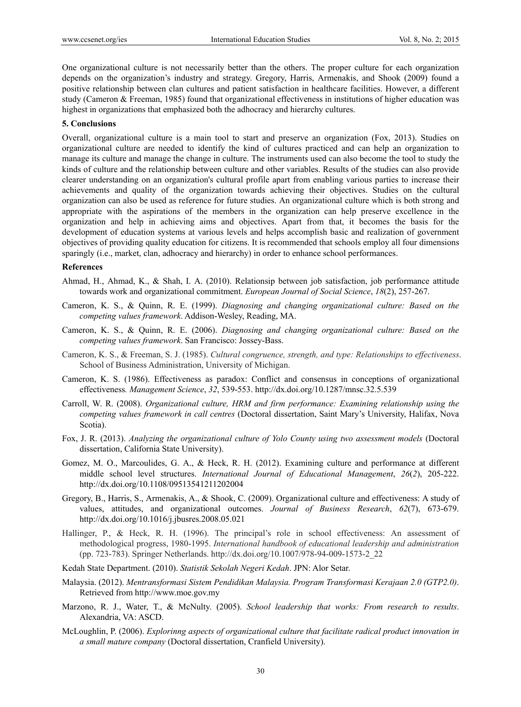One organizational culture is not necessarily better than the others. The proper culture for each organization depends on the organization's industry and strategy. Gregory, Harris, Armenakis, and Shook (2009) found a positive relationship between clan cultures and patient satisfaction in healthcare facilities. However, a different study (Cameron & Freeman, 1985) found that organizational effectiveness in institutions of higher education was highest in organizations that emphasized both the adhocracy and hierarchy cultures.

#### **5. Conclusions**

Overall, organizational culture is a main tool to start and preserve an organization (Fox, 2013). Studies on organizational culture are needed to identify the kind of cultures practiced and can help an organization to manage its culture and manage the change in culture. The instruments used can also become the tool to study the kinds of culture and the relationship between culture and other variables. Results of the studies can also provide clearer understanding on an organization's cultural profile apart from enabling various parties to increase their achievements and quality of the organization towards achieving their objectives. Studies on the cultural organization can also be used as reference for future studies. An organizational culture which is both strong and appropriate with the aspirations of the members in the organization can help preserve excellence in the organization and help in achieving aims and objectives. Apart from that, it becomes the basis for the development of education systems at various levels and helps accomplish basic and realization of government objectives of providing quality education for citizens. It is recommended that schools employ all four dimensions sparingly (i.e., market, clan, adhocracy and hierarchy) in order to enhance school performances.

## **References**

- Ahmad, H., Ahmad, K., & Shah, I. A. (2010). Relationsip between job satisfaction, job performance attitude towards work and organizational commitment. *European Journal of Social Science*, *18*(2), 257-267.
- Cameron, K. S., & Quinn, R. E. (1999). *Diagnosing and changing organizational culture: Based on the competing values framework*. Addison-Wesley, Reading, MA.
- Cameron, K. S., & Quinn, R. E. (2006). *Diagnosing and changing organizational culture: Based on the competing values framework*. San Francisco: Jossey-Bass.
- Cameron, K. S., & Freeman, S. J. (1985). *Cultural congruence, strength, and type: Relationships to effectiveness*. School of Business Administration, University of Michigan.
- Cameron, K. S. (1986). Effectiveness as paradox: Conflict and consensus in conceptions of organizational effectiveness*. Management Science*, *32*, 539-553. http://dx.doi.org/10.1287/mnsc.32.5.539
- Carroll, W. R. (2008). *Organizational culture, HRM and firm performance: Examining relationship using the competing values framework in call centres* (Doctoral dissertation, Saint Mary's University, Halifax, Nova Scotia).
- Fox, J. R. (2013). *Analyzing the organizational culture of Yolo County using two assessment models* (Doctoral dissertation, California State University).
- Gomez, M. O., Marcoulides, G. A., & Heck, R. H. (2012). Examining culture and performance at different middle school level structures. *International Journal of Educational Management*, *26*(*2*), 205-222. http://dx.doi.org/10.1108/09513541211202004
- Gregory, B., Harris, S., Armenakis, A., & Shook, C. (2009). Organizational culture and effectiveness: A study of values, attitudes, and organizational outcomes. *Journal of Business Research*, *62*(7), 673-679. http://dx.doi.org/10.1016/j.jbusres.2008.05.021
- Hallinger, P., & Heck, R. H. (1996). The principal's role in school effectiveness: An assessment of methodological progress, 1980-1995. *International handbook of educational leadership and administration* (pp. 723-783). Springer Netherlands. http://dx.doi.org/10.1007/978-94-009-1573-2\_22
- Kedah State Department. (2010). *Statistik Sekolah Negeri Kedah*. JPN: Alor Setar.
- Malaysia. (2012). *Mentransformasi Sistem Pendidikan Malaysia. Program Transformasi Kerajaan 2.0 (GTP2.0)*. Retrieved from http://www.moe.gov.my
- Marzono, R. J., Water, T., & McNulty. (2005). *School leadership that works: From research to results*. Alexandria, VA: ASCD.
- McLoughlin, P. (2006). *Explorinng aspects of organizational culture that facilitate radical product innovation in a small mature company* (Doctoral dissertation, Cranfield University).